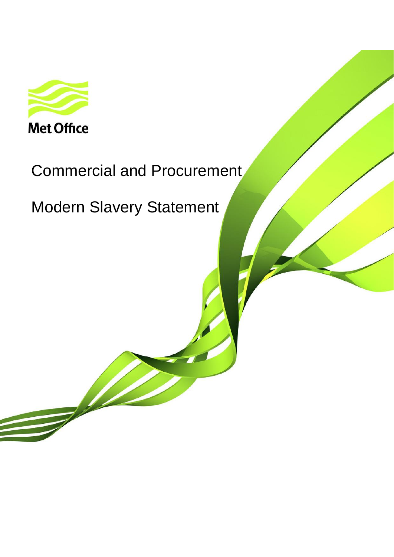

# Commercial and Procurement

Modern Slavery Statement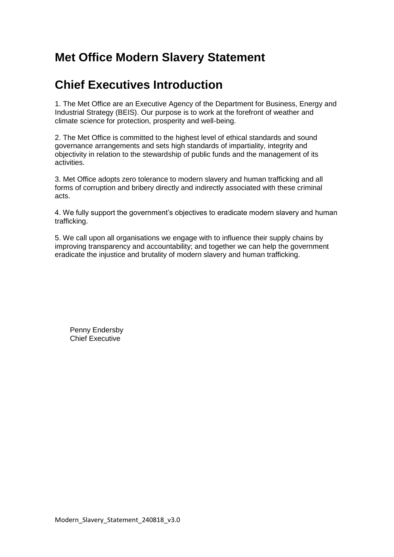# **Met Office Modern Slavery Statement**

# **Chief Executives Introduction**

1. The Met Office are an Executive Agency of the Department for Business, Energy and Industrial Strategy (BEIS). Our purpose is to work at the forefront of weather and climate science for protection, prosperity and well-being.

2. The Met Office is committed to the highest level of ethical standards and sound governance arrangements and sets high standards of impartiality, integrity and objectivity in relation to the stewardship of public funds and the management of its activities.

3. Met Office adopts zero tolerance to modern slavery and human trafficking and all forms of corruption and bribery directly and indirectly associated with these criminal acts.

4. We fully support the government's objectives to eradicate modern slavery and human trafficking.

5. We call upon all organisations we engage with to influence their supply chains by improving transparency and accountability; and together we can help the government eradicate the injustice and brutality of modern slavery and human trafficking.

Penny Endersby Chief Executive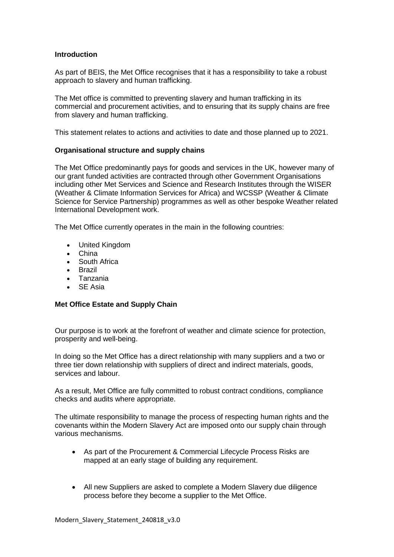#### **Introduction**

As part of BEIS, the Met Office recognises that it has a responsibility to take a robust approach to slavery and human trafficking.

The Met office is committed to preventing slavery and human trafficking in its commercial and procurement activities, and to ensuring that its supply chains are free from slavery and human trafficking.

This statement relates to actions and activities to date and those planned up to 2021.

#### **Organisational structure and supply chains**

The Met Office predominantly pays for goods and services in the UK, however many of our grant funded activities are contracted through other Government Organisations including other Met Services and Science and Research Institutes through the WISER (Weather & Climate Information Services for Africa) and WCSSP (Weather & Climate Science for Service Partnership) programmes as well as other bespoke Weather related International Development work.

The Met Office currently operates in the main in the following countries:

- United Kingdom
- China
- South Africa
- Brazil
- Tanzania
- SE Asia

#### **Met Office Estate and Supply Chain**

Our purpose is to work at the forefront of weather and climate science for protection, prosperity and well-being.

In doing so the Met Office has a direct relationship with many suppliers and a two or three tier down relationship with suppliers of direct and indirect materials, goods, services and labour.

As a result, Met Office are fully committed to robust contract conditions, compliance checks and audits where appropriate.

The ultimate responsibility to manage the process of respecting human rights and the covenants within the Modern Slavery Act are imposed onto our supply chain through various mechanisms.

- As part of the Procurement & Commercial Lifecycle Process Risks are mapped at an early stage of building any requirement.
- All new Suppliers are asked to complete a Modern Slavery due diligence process before they become a supplier to the Met Office.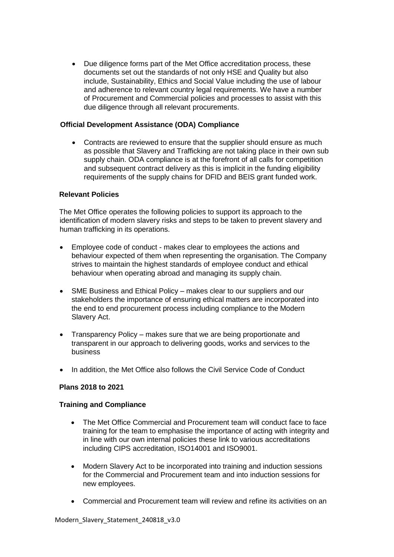• Due diligence forms part of the Met Office accreditation process, these documents set out the standards of not only HSE and Quality but also include, Sustainability, Ethics and Social Value including the use of labour and adherence to relevant country legal requirements. We have a number of Procurement and Commercial policies and processes to assist with this due diligence through all relevant procurements.

### **Official Development Assistance (ODA) Compliance**

• Contracts are reviewed to ensure that the supplier should ensure as much as possible that Slavery and Trafficking are not taking place in their own sub supply chain. ODA compliance is at the forefront of all calls for competition and subsequent contract delivery as this is implicit in the funding eligibility requirements of the supply chains for DFID and BEIS grant funded work.

#### **Relevant Policies**

The Met Office operates the following policies to support its approach to the identification of modern slavery risks and steps to be taken to prevent slavery and human trafficking in its operations.

- Employee code of conduct makes clear to employees the actions and behaviour expected of them when representing the organisation. The Company strives to maintain the highest standards of employee conduct and ethical behaviour when operating abroad and managing its supply chain.
- SME Business and Ethical Policy makes clear to our suppliers and our stakeholders the importance of ensuring ethical matters are incorporated into the end to end procurement process including compliance to the Modern Slavery Act.
- Transparency Policy makes sure that we are being proportionate and transparent in our approach to delivering goods, works and services to the business
- In addition, the Met Office also follows the Civil Service Code of Conduct

### **Plans 2018 to 2021**

#### **Training and Compliance**

- The Met Office Commercial and Procurement team will conduct face to face training for the team to emphasise the importance of acting with integrity and in line with our own internal policies these link to various accreditations including CIPS accreditation, ISO14001 and ISO9001.
- Modern Slavery Act to be incorporated into training and induction sessions for the Commercial and Procurement team and into induction sessions for new employees.
- Commercial and Procurement team will review and refine its activities on an